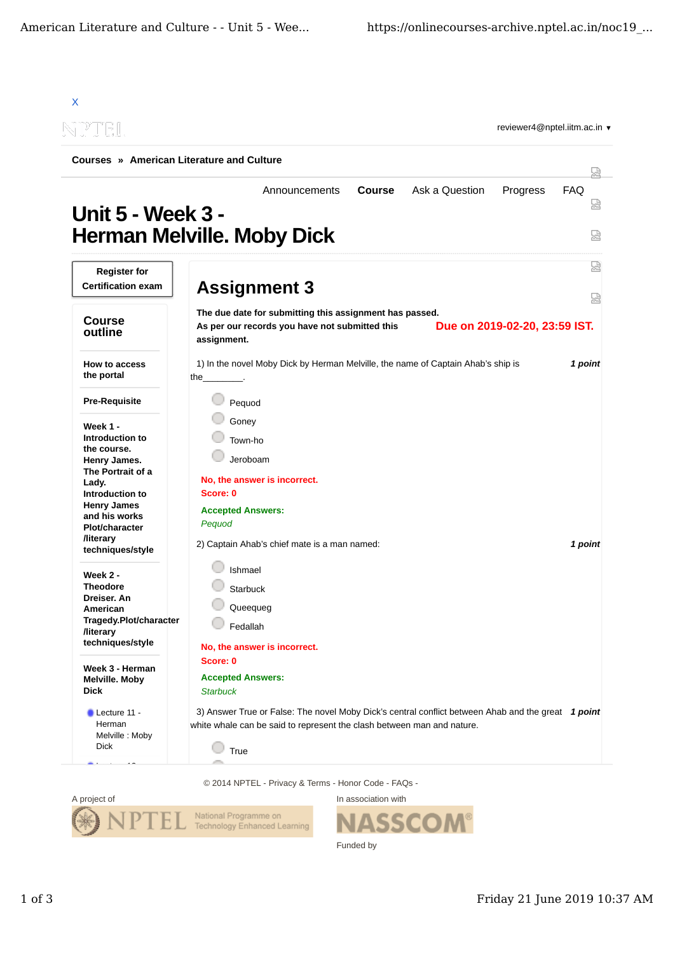

© 2014 NPTEL - Privacy & Terms - Honor Code - FAQs -



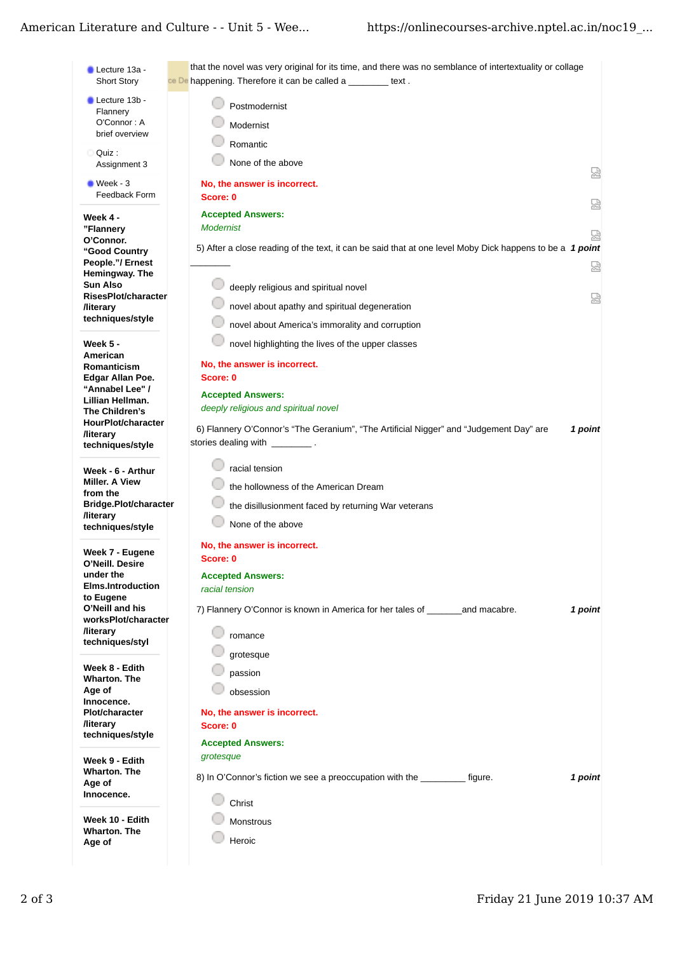## American Literature and Culture - - Unit 5 - Wee...

| $\blacksquare$ Lecture 13a -<br>Short Story       | that the novel was very original for its time, and there was no semblance of intertextuality or collage<br>ce De happening. Therefore it can be called a ________ text. |
|---------------------------------------------------|-------------------------------------------------------------------------------------------------------------------------------------------------------------------------|
| Lecture 13b -                                     | Postmodernist                                                                                                                                                           |
| Flannery<br>O'Connor: A                           | Modernist                                                                                                                                                               |
| brief overview                                    |                                                                                                                                                                         |
| Quiz :                                            | Romantic                                                                                                                                                                |
| Assignment 3                                      | None of the above                                                                                                                                                       |
| $\blacksquare$ Week - 3                           | No, the answer is incorrect.                                                                                                                                            |
| Feedback Form                                     | Score: 0                                                                                                                                                                |
| Week 4 -                                          | <b>Accepted Answers:</b>                                                                                                                                                |
| "Flannery                                         | <b>Modernist</b>                                                                                                                                                        |
| O'Connor.                                         | 5) After a close reading of the text, it can be said that at one level Moby Dick happens to be a 1 point                                                                |
| "Good Country<br>People."/ Ernest                 |                                                                                                                                                                         |
| Hemingway. The                                    |                                                                                                                                                                         |
| Sun Also<br>RisesPlot/character                   | deeply religious and spiritual novel                                                                                                                                    |
| <b>/literary</b>                                  | novel about apathy and spiritual degeneration                                                                                                                           |
| techniques/style                                  | novel about America's immorality and corruption                                                                                                                         |
| Week 5 -                                          | novel highlighting the lives of the upper classes                                                                                                                       |
| American                                          | No, the answer is incorrect.                                                                                                                                            |
| Romanticism<br>Edgar Allan Poe.                   | Score: 0                                                                                                                                                                |
| "Annabel Lee" /                                   | <b>Accepted Answers:</b>                                                                                                                                                |
| Lillian Hellman.                                  | deeply religious and spiritual novel                                                                                                                                    |
| The Children's<br>HourPlot/character              |                                                                                                                                                                         |
| <b>/literary</b>                                  | 6) Flannery O'Connor's "The Geranium", "The Artificial Nigger" and "Judgement Day" are<br>1 point                                                                       |
| techniques/style                                  | stories dealing with __________.                                                                                                                                        |
| Week - 6 - Arthur                                 | racial tension                                                                                                                                                          |
| Miller. A View                                    | the hollowness of the American Dream                                                                                                                                    |
| from the                                          |                                                                                                                                                                         |
| Bridge.Plot/character<br><b>/literary</b>         | the disillusionment faced by returning War veterans                                                                                                                     |
| techniques/style                                  | None of the above                                                                                                                                                       |
|                                                   | No, the answer is incorrect.                                                                                                                                            |
| Week 7 - Eugene<br>O'Neill. Desire                | Score: 0                                                                                                                                                                |
| under the                                         | <b>Accepted Answers:</b>                                                                                                                                                |
| <b>Elms.Introduction</b><br>to Eugene             | racial tension                                                                                                                                                          |
| O'Neill and his                                   | 7) Flannery O'Connor is known in America for her tales of and macabre.<br>1 point                                                                                       |
| worksPlot/character                               |                                                                                                                                                                         |
| <b><i><u>Iliterary</u></i></b><br>techniques/styl | romance                                                                                                                                                                 |
|                                                   | grotesque                                                                                                                                                               |
| Week 8 - Edith                                    | passion                                                                                                                                                                 |
| <b>Wharton. The</b><br>Age of                     | obsession                                                                                                                                                               |
| Innocence.                                        |                                                                                                                                                                         |
| <b>Plot/character</b>                             | No, the answer is incorrect.                                                                                                                                            |
| <b>/literary</b><br>techniques/style              | Score: 0                                                                                                                                                                |
|                                                   | <b>Accepted Answers:</b>                                                                                                                                                |
| Week 9 - Edith                                    | grotesque                                                                                                                                                               |
| Wharton. The<br>Age of                            | 8) In O'Connor's fiction we see a preoccupation with the __________ figure.<br>1 point                                                                                  |
| Innocence.                                        | Christ                                                                                                                                                                  |
| Week 10 - Edith                                   |                                                                                                                                                                         |
|                                                   | Monstrous                                                                                                                                                               |
| Wharton. The                                      | Heroic                                                                                                                                                                  |